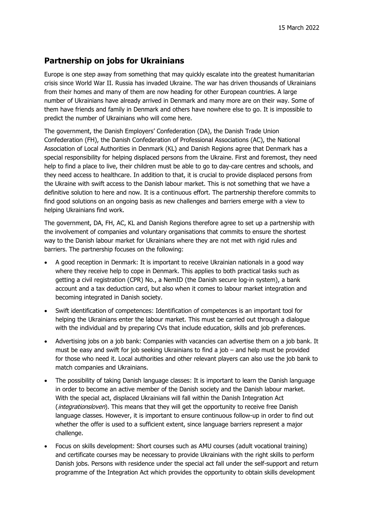## **Partnership on jobs for Ukrainians**

Europe is one step away from something that may quickly escalate into the greatest humanitarian crisis since World War II. Russia has invaded Ukraine. The war has driven thousands of Ukrainians from their homes and many of them are now heading for other European countries. A large number of Ukrainians have already arrived in Denmark and many more are on their way. Some of them have friends and family in Denmark and others have nowhere else to go. It is impossible to predict the number of Ukrainians who will come here.

The government, the Danish Employers' Confederation (DA), the Danish Trade Union Confederation (FH), the Danish Confederation of Professional Associations (AC), the National Association of Local Authorities in Denmark (KL) and Danish Regions agree that Denmark has a special responsibility for helping displaced persons from the Ukraine. First and foremost, they need help to find a place to live, their children must be able to go to day-care centres and schools, and they need access to healthcare. In addition to that, it is crucial to provide displaced persons from the Ukraine with swift access to the Danish labour market. This is not something that we have a definitive solution to here and now. It is a continuous effort. The partnership therefore commits to find good solutions on an ongoing basis as new challenges and barriers emerge with a view to helping Ukrainians find work.

The government, DA, FH, AC, KL and Danish Regions therefore agree to set up a partnership with the involvement of companies and voluntary organisations that commits to ensure the shortest way to the Danish labour market for Ukrainians where they are not met with rigid rules and barriers. The partnership focuses on the following:

- A good reception in Denmark: It is important to receive Ukrainian nationals in a good way where they receive help to cope in Denmark. This applies to both practical tasks such as getting a civil registration (CPR) No., a NemID (the Danish secure log-in system), a bank account and a tax deduction card, but also when it comes to labour market integration and becoming integrated in Danish society.
- Swift identification of competences: Identification of competences is an important tool for helping the Ukrainians enter the labour market. This must be carried out through a dialogue with the individual and by preparing CVs that include education, skills and job preferences.
- Advertising jobs on a job bank: Companies with vacancies can advertise them on a job bank. It must be easy and swift for job seeking Ukrainians to find a job – and help must be provided for those who need it. Local authorities and other relevant players can also use the job bank to match companies and Ukrainians.
- The possibility of taking Danish language classes: It is important to learn the Danish language in order to become an active member of the Danish society and the Danish labour market. With the special act, displaced Ukrainians will fall within the Danish Integration Act (*integrationsloven*). This means that they will get the opportunity to receive free Danish language classes. However, it is important to ensure continuous follow-up in order to find out whether the offer is used to a sufficient extent, since language barriers represent a major challenge.
- Focus on skills development: Short courses such as AMU courses (adult vocational training) and certificate courses may be necessary to provide Ukrainians with the right skills to perform Danish jobs. Persons with residence under the special act fall under the self-support and return programme of the Integration Act which provides the opportunity to obtain skills development